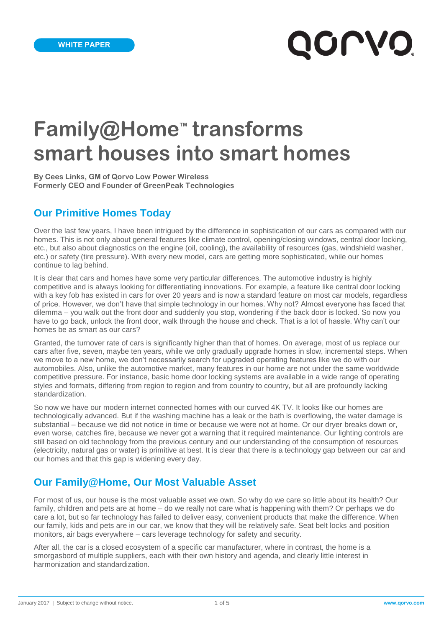# QOLVO'

# **Family@Home<sup>™</sup> transforms smart houses into smart homes**

**By Cees Links, GM of Qorvo Low Power Wireless Formerly CEO and Founder of GreenPeak Technologies**

### **Our Primitive Homes Today**

Over the last few years, I have been intrigued by the difference in sophistication of our cars as compared with our homes. This is not only about general features like climate control, opening/closing windows, central door locking, etc., but also about diagnostics on the engine (oil, cooling), the availability of resources (gas, windshield washer, etc.) or safety (tire pressure). With every new model, cars are getting more sophisticated, while our homes continue to lag behind.

It is clear that cars and homes have some very particular differences. The automotive industry is highly competitive and is always looking for differentiating innovations. For example, a feature like central door locking with a key fob has existed in cars for over 20 years and is now a standard feature on most car models, regardless of price. However, we don't have that simple technology in our homes. Why not? Almost everyone has faced that dilemma – you walk out the front door and suddenly you stop, wondering if the back door is locked. So now you have to go back, unlock the front door, walk through the house and check. That is a lot of hassle. Why can't our homes be as smart as our cars?

Granted, the turnover rate of cars is significantly higher than that of homes. On average, most of us replace our cars after five, seven, maybe ten years, while we only gradually upgrade homes in slow, incremental steps. When we move to a new home, we don't necessarily search for upgraded operating features like we do with our automobiles. Also, unlike the automotive market, many features in our home are not under the same worldwide competitive pressure. For instance, basic home door locking systems are available in a wide range of operating styles and formats, differing from region to region and from country to country, but all are profoundly lacking standardization.

So now we have our modern internet connected homes with our curved 4K TV. It looks like our homes are technologically advanced. But if the washing machine has a leak or the bath is overflowing, the water damage is substantial – because we did not notice in time or because we were not at home. Or our dryer breaks down or, even worse, catches fire, because we never got a warning that it required maintenance. Our lighting controls are still based on old technology from the previous century and our understanding of the consumption of resources (electricity, natural gas or water) is primitive at best. It is clear that there is a technology gap between our car and our homes and that this gap is widening every day.

### **Our Family@Home, Our Most Valuable Asset**

For most of us, our house is the most valuable asset we own. So why do we care so little about its health? Our family, children and pets are at home – do we really not care what is happening with them? Or perhaps we do care a lot, but so far technology has failed to deliver easy, convenient products that make the difference. When our family, kids and pets are in our car, we know that they will be relatively safe. Seat belt locks and position monitors, air bags everywhere – cars leverage technology for safety and security.

After all, the car is a closed ecosystem of a specific car manufacturer, where in contrast, the home is a smorgasbord of multiple suppliers, each with their own history and agenda, and clearly little interest in harmonization and standardization.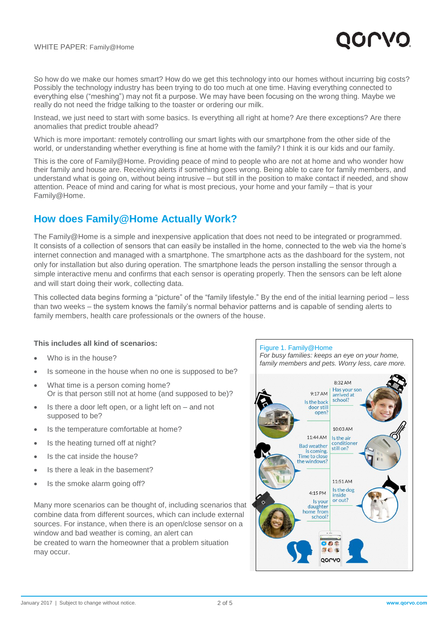

So how do we make our homes smart? How do we get this technology into our homes without incurring big costs? Possibly the technology industry has been trying to do too much at one time. Having everything connected to everything else ("meshing") may not fit a purpose. We may have been focusing on the wrong thing. Maybe we really do not need the fridge talking to the toaster or ordering our milk.

Instead, we just need to start with some basics. Is everything all right at home? Are there exceptions? Are there anomalies that predict trouble ahead?

Which is more important: remotely controlling our smart lights with our smartphone from the other side of the world, or understanding whether everything is fine at home with the family? I think it is our kids and our family.

This is the core of Family@Home. Providing peace of mind to people who are not at home and who wonder how their family and house are. Receiving alerts if something goes wrong. Being able to care for family members, and understand what is going on, without being intrusive – but still in the position to make contact if needed, and show attention. Peace of mind and caring for what is most precious, your home and your family – that is your Family@Home.

### **How does Family@Home Actually Work?**

The Family@Home is a simple and inexpensive application that does not need to be integrated or programmed. It consists of a collection of sensors that can easily be installed in the home, connected to the web via the home's internet connection and managed with a smartphone. The smartphone acts as the dashboard for the system, not only for installation but also during operation. The smartphone leads the person installing the sensor through a simple interactive menu and confirms that each sensor is operating properly. Then the sensors can be left alone and will start doing their work, collecting data.

This collected data begins forming a "picture" of the "family lifestyle." By the end of the initial learning period – less than two weeks – the system knows the family's normal behavior patterns and is capable of sending alerts to family members, health care professionals or the owners of the house.

### **This includes all kind of scenarios:**

- Who is in the house?
- Is someone in the house when no one is supposed to be?
- What time is a person coming home? Or is that person still not at home (and supposed to be)?
- Is there a door left open, or a light left on and not supposed to be?
- Is the temperature comfortable at home?
- Is the heating turned off at night?
- Is the cat inside the house?
- Is there a leak in the basement?
- Is the smoke alarm going off?

Many more scenarios can be thought of, including scenarios that combine data from different sources, which can include external sources. For instance, when there is an open/close sensor on a window and bad weather is coming, an alert can be created to warn the homeowner that a problem situation may occur.

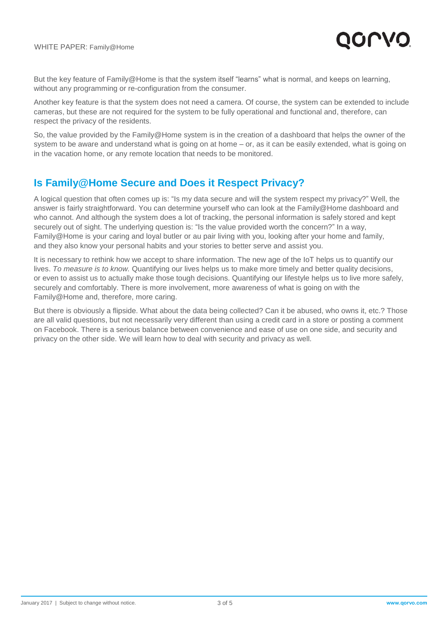

But the key feature of Family@Home is that the system itself "learns" what is normal, and keeps on learning, without any programming or re-configuration from the consumer.

Another key feature is that the system does not need a camera. Of course, the system can be extended to include cameras, but these are not required for the system to be fully operational and functional and, therefore, can respect the privacy of the residents.

So, the value provided by the Family@Home system is in the creation of a dashboard that helps the owner of the system to be aware and understand what is going on at home – or, as it can be easily extended, what is going on in the vacation home, or any remote location that needs to be monitored.

### **Is Family@Home Secure and Does it Respect Privacy?**

A logical question that often comes up is: "Is my data secure and will the system respect my privacy?" Well, the answer is fairly straightforward. You can determine yourself who can look at the Family@Home dashboard and who cannot. And although the system does a lot of tracking, the personal information is safely stored and kept securely out of sight. The underlying question is: "Is the value provided worth the concern?" In a way, Family@Home is your caring and loyal butler or au pair living with you, looking after your home and family, and they also know your personal habits and your stories to better serve and assist you.

It is necessary to rethink how we accept to share information. The new age of the IoT helps us to quantify our lives. *To measure is to know.* Quantifying our lives helps us to make more timely and better quality decisions, or even to assist us to actually make those tough decisions. Quantifying our lifestyle helps us to live more safely, securely and comfortably. There is more involvement, more awareness of what is going on with the Family@Home and, therefore, more caring.

But there is obviously a flipside. What about the data being collected? Can it be abused, who owns it, etc.? Those are all valid questions, but not necessarily very different than using a credit card in a store or posting a comment on Facebook. There is a serious balance between convenience and ease of use on one side, and security and privacy on the other side. We will learn how to deal with security and privacy as well.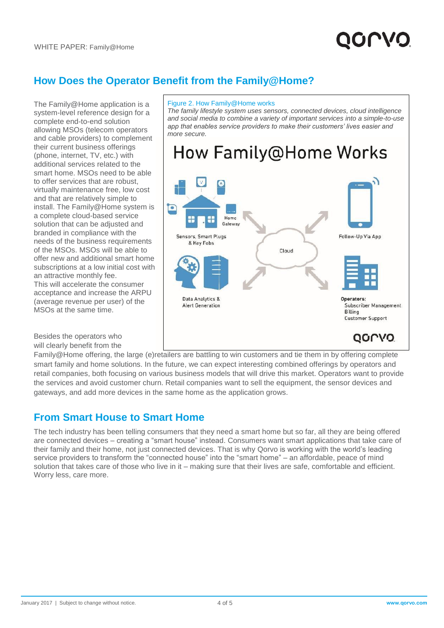### **How Does the Operator Benefit from the Family@Home?**

The Family@Home application is a system-level reference design for a complete end-to-end solution allowing MSOs (telecom operators and cable providers) to complement their current business offerings (phone, internet, TV, etc.) with additional services related to the smart home. MSOs need to be able to offer services that are robust, virtually maintenance free, low cost and that are relatively simple to install. The Family@Home system is a complete cloud-based service solution that can be adjusted and branded in compliance with the needs of the business requirements of the MSOs. MSOs will be able to offer new and additional smart home subscriptions at a low initial cost with an attractive monthly fee. This will accelerate the consumer acceptance and increase the ARPU (average revenue per user) of the MSOs at the same time.

Besides the operators who will clearly benefit from the

### Figure 2. How Family@Home works

*The family lifestyle system uses sensors, connected devices, cloud intelligence and social media to combine a variety of important services into a simple-to-use app that enables service providers to make their customers' lives easier and more secure.*

## How Family@Home Works



Family@Home offering, the large (e)retailers are battling to win customers and tie them in by offering complete smart family and home solutions. In the future, we can expect interesting combined offerings by operators and retail companies, both focusing on various business models that will drive this market. Operators want to provide the services and avoid customer churn. Retail companies want to sell the equipment, the sensor devices and gateways, and add more devices in the same home as the application grows.

### **From Smart House to Smart Home**

The tech industry has been telling consumers that they need a smart home but so far, all they are being offered are connected devices – creating a "smart house" instead. Consumers want smart applications that take care of their family and their home, not just connected devices. That is why Qorvo is working with the world's leading service providers to transform the "connected house" into the "smart home" – an affordable, peace of mind solution that takes care of those who live in it – making sure that their lives are safe, comfortable and efficient. Worry less, care more.